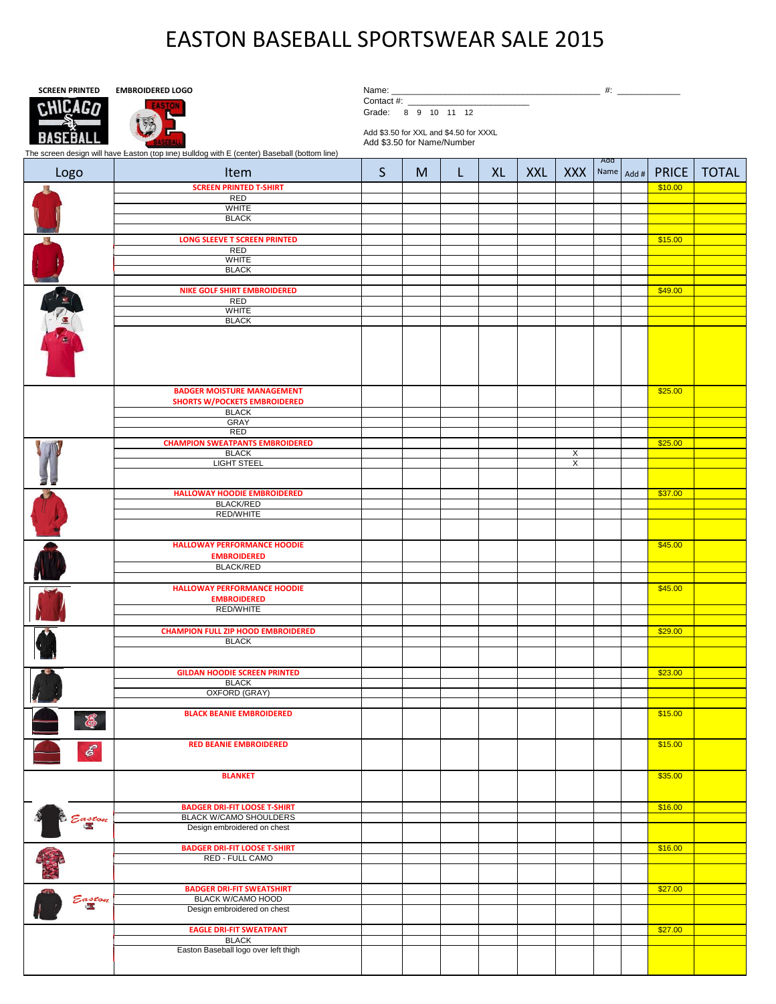## EASTON BASEBALL SPORTSWEAR SALE 2015



| Name. |  |
|-------|--|
|       |  |

Contact #:

Grade: 8 9 10 11 12

Add \$3.50 for XXL and \$4.50 for XXXL Add \$3.50 for Name/Number

The screen design will have Easton (top line) Bulldog with E (center) Baseball (bottom line)

| Logo              | Item                                                   | S | M | L | <b>XL</b> | <b>XXL</b> | <b>XXX</b>              | Add | Name Add # | <b>PRICE</b> | <b>TOTAL</b> |
|-------------------|--------------------------------------------------------|---|---|---|-----------|------------|-------------------------|-----|------------|--------------|--------------|
|                   | <b>SCREEN PRINTED T-SHIRT</b>                          |   |   |   |           |            |                         |     |            | \$10.00      |              |
|                   | <b>RED</b>                                             |   |   |   |           |            |                         |     |            |              |              |
|                   | <b>WHITE</b><br><b>BLACK</b>                           |   |   |   |           |            |                         |     |            |              |              |
|                   |                                                        |   |   |   |           |            |                         |     |            |              |              |
|                   | <b>LONG SLEEVE T SCREEN PRINTED</b>                    |   |   |   |           |            |                         |     |            | \$15.00      |              |
|                   | RED                                                    |   |   |   |           |            |                         |     |            |              |              |
|                   | <b>WHITE</b>                                           |   |   |   |           |            |                         |     |            |              |              |
|                   | <b>BLACK</b>                                           |   |   |   |           |            |                         |     |            |              |              |
|                   |                                                        |   |   |   |           |            |                         |     |            |              |              |
|                   | <b>NIKE GOLF SHIRT EMBROIDERED</b>                     |   |   |   |           |            |                         |     |            | \$49.00      |              |
|                   | <b>RED</b>                                             |   |   |   |           |            |                         |     |            |              |              |
|                   | WHITE<br><b>BLACK</b>                                  |   |   |   |           |            |                         |     |            |              |              |
|                   |                                                        |   |   |   |           |            |                         |     |            |              |              |
| <b>CONTROLLER</b> |                                                        |   |   |   |           |            |                         |     |            |              |              |
|                   | <b>BADGER MOISTURE MANAGEMENT</b>                      |   |   |   |           |            |                         |     |            | \$25.00      |              |
|                   | <b>SHORTS W/POCKETS EMBROIDERED</b>                    |   |   |   |           |            |                         |     |            |              |              |
|                   | <b>BLACK</b>                                           |   |   |   |           |            |                         |     |            |              |              |
|                   | <b>GRAY</b>                                            |   |   |   |           |            |                         |     |            |              |              |
|                   | <b>RED</b>                                             |   |   |   |           |            |                         |     |            |              |              |
|                   | <b>CHAMPION SWEATPANTS EMBROIDERED</b><br><b>BLACK</b> |   |   |   |           |            | $\overline{\mathsf{x}}$ |     |            | \$25.00      |              |
|                   | <b>LIGHT STEEL</b>                                     |   |   |   |           |            | $\overline{\mathsf{x}}$ |     |            |              |              |
|                   |                                                        |   |   |   |           |            |                         |     |            |              |              |
|                   |                                                        |   |   |   |           |            |                         |     |            |              |              |
|                   | <b>HALLOWAY HOODIE EMBROIDERED</b>                     |   |   |   |           |            |                         |     |            | \$37.00      |              |
|                   | <b>BLACK/RED</b>                                       |   |   |   |           |            |                         |     |            |              |              |
|                   | <b>RED/WHITE</b>                                       |   |   |   |           |            |                         |     |            |              |              |
|                   |                                                        |   |   |   |           |            |                         |     |            |              |              |
|                   | <b>HALLOWAY PERFORMANCE HOODIE</b>                     |   |   |   |           |            |                         |     |            | \$45.00      |              |
|                   | <b>EMBROIDERED</b>                                     |   |   |   |           |            |                         |     |            |              |              |
|                   | <b>BLACK/RED</b>                                       |   |   |   |           |            |                         |     |            |              |              |
|                   |                                                        |   |   |   |           |            |                         |     |            |              |              |
|                   | <b>HALLOWAY PERFORMANCE HOODIE</b>                     |   |   |   |           |            |                         |     |            | \$45.00      |              |
|                   | <b>EMBROIDERED</b>                                     |   |   |   |           |            |                         |     |            |              |              |
|                   | <b>RED/WHITE</b>                                       |   |   |   |           |            |                         |     |            |              |              |
|                   |                                                        |   |   |   |           |            |                         |     |            |              |              |
|                   | <b>CHAMPION FULL ZIP HOOD EMBROIDERED</b>              |   |   |   |           |            |                         |     |            | \$29.00      |              |
|                   | <b>BLACK</b>                                           |   |   |   |           |            |                         |     |            |              |              |
|                   |                                                        |   |   |   |           |            |                         |     |            |              |              |
|                   | <b>GILDAN HOODIE SCREEN PRINTED</b>                    |   |   |   |           |            |                         |     |            | \$23.00      |              |
|                   | <b>BLACK</b>                                           |   |   |   |           |            |                         |     |            |              |              |
|                   | OXFORD (GRAY)                                          |   |   |   |           |            |                         |     |            |              |              |
|                   |                                                        |   |   |   |           |            |                         |     |            |              |              |
| 8                 | <b>BLACK BEANIE EMBROIDERED</b>                        |   |   |   |           |            |                         |     |            | \$15.00      |              |
| $\mathscr{E}$     | <b>RED BEANIE EMBROIDERED</b>                          |   |   |   |           |            |                         |     |            | \$15.00      |              |
|                   | <b>BLANKET</b>                                         |   |   |   |           |            |                         |     |            | \$35.00      |              |
| Easton            | <b>BADGER DRI-FIT LOOSE T-SHIRT</b>                    |   |   |   |           |            |                         |     |            | \$16.00      |              |
|                   | <b>BLACK W/CAMO SHOULDERS</b>                          |   |   |   |           |            |                         |     |            |              |              |
|                   | Design embroidered on chest                            |   |   |   |           |            |                         |     |            |              |              |
|                   |                                                        |   |   |   |           |            |                         |     |            |              |              |
|                   | <b>BADGER DRI-FIT LOOSE T-SHIRT</b>                    |   |   |   |           |            |                         |     |            | \$16.00      |              |
|                   | RED - FULL CAMO                                        |   |   |   |           |            |                         |     |            |              |              |
|                   |                                                        |   |   |   |           |            |                         |     |            |              |              |
|                   | <b>BADGER DRI-FIT SWEATSHIRT</b>                       |   |   |   |           |            |                         |     |            | \$27.00      |              |
| Easton<br>E       | <b>BLACK W/CAMO HOOD</b>                               |   |   |   |           |            |                         |     |            |              |              |
|                   | Design embroidered on chest                            |   |   |   |           |            |                         |     |            |              |              |
|                   |                                                        |   |   |   |           |            |                         |     |            |              |              |
|                   | <b>EAGLE DRI-FIT SWEATPANT</b>                         |   |   |   |           |            |                         |     |            | \$27.00      |              |
|                   | <b>BLACK</b>                                           |   |   |   |           |            |                         |     |            |              |              |
|                   | Easton Baseball logo over left thigh                   |   |   |   |           |            |                         |     |            |              |              |